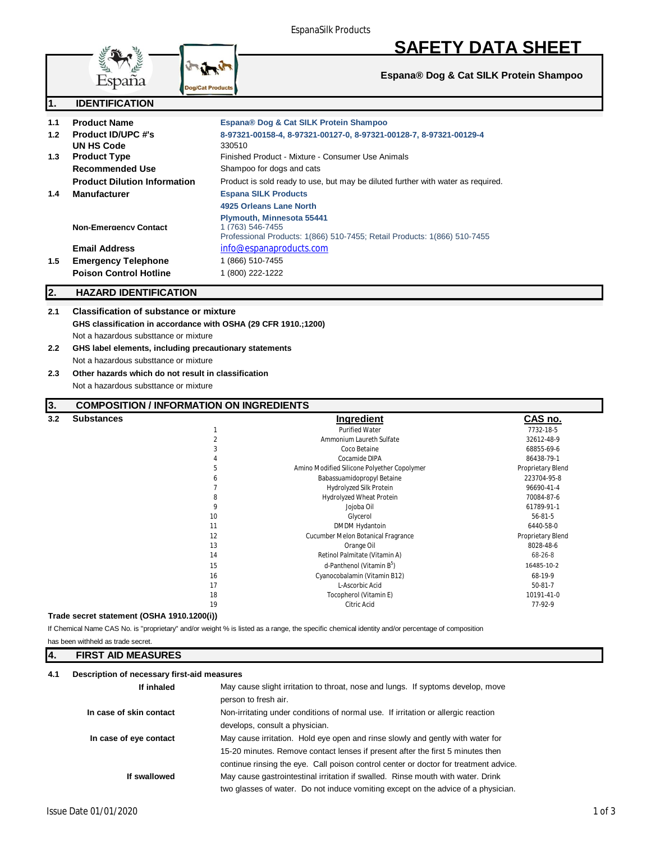# **SAFETY DATA SHEET**

**Espana® Dog & Cat SILK Protein Shampoo**

|                      | Espana                                                                                                                                                                                                                                                                                                                                                             | <b>Dog/Cat Products</b>                                                          |                                |
|----------------------|--------------------------------------------------------------------------------------------------------------------------------------------------------------------------------------------------------------------------------------------------------------------------------------------------------------------------------------------------------------------|----------------------------------------------------------------------------------|--------------------------------|
| $\mathbf 1$ .        | <b>IDENTIFICATION</b>                                                                                                                                                                                                                                                                                                                                              |                                                                                  |                                |
| 1.1                  | <b>Product Name</b>                                                                                                                                                                                                                                                                                                                                                | Espana® Dog & Cat SILK Protein Shampoo                                           |                                |
| $1.2$                | <b>Product ID/UPC #'s</b>                                                                                                                                                                                                                                                                                                                                          | 8-97321-00158-4, 8-97321-00127-0, 8-97321-00128-7, 8-97321-00129-4               |                                |
|                      | <b>UN HS Code</b>                                                                                                                                                                                                                                                                                                                                                  | 330510                                                                           |                                |
| 1.3                  | <b>Product Type</b>                                                                                                                                                                                                                                                                                                                                                | Finished Product - Mixture - Consumer Use Animals                                |                                |
|                      | <b>Recommended Use</b>                                                                                                                                                                                                                                                                                                                                             | Shampoo for dogs and cats                                                        |                                |
|                      | <b>Product Dilution Information</b>                                                                                                                                                                                                                                                                                                                                | Product is sold ready to use, but may be diluted further with water as required. |                                |
|                      |                                                                                                                                                                                                                                                                                                                                                                    |                                                                                  |                                |
| 1.4                  | <b>Manufacturer</b>                                                                                                                                                                                                                                                                                                                                                | <b>Espana SILK Products</b>                                                      |                                |
|                      |                                                                                                                                                                                                                                                                                                                                                                    | 4925 Orleans Lane North                                                          |                                |
|                      |                                                                                                                                                                                                                                                                                                                                                                    | Plymouth, Minnesota 55441                                                        |                                |
|                      | <b>Non-Emergency Contact</b>                                                                                                                                                                                                                                                                                                                                       | 1 (763) 546-7455                                                                 |                                |
|                      |                                                                                                                                                                                                                                                                                                                                                                    | Professional Products: 1(866) 510-7455; Retail Products: 1(866) 510-7455         |                                |
|                      | <b>Email Address</b>                                                                                                                                                                                                                                                                                                                                               | info@espanaproducts.com                                                          |                                |
| 1.5                  | <b>Emergency Telephone</b>                                                                                                                                                                                                                                                                                                                                         | 1 (866) 510-7455                                                                 |                                |
|                      | <b>Poison Control Hotline</b>                                                                                                                                                                                                                                                                                                                                      | 1 (800) 222-1222                                                                 |                                |
| 2.                   | <b>HAZARD IDENTIFICATION</b>                                                                                                                                                                                                                                                                                                                                       |                                                                                  |                                |
| $2.2^{\circ}$<br>2.3 | 2.1<br><b>Classification of substance or mixture</b><br>GHS classification in accordance with OSHA (29 CFR 1910.;1200)<br>Not a hazardous substtance or mixture<br>GHS label elements, including precautionary statements<br>Not a hazardous substtance or mixture<br>Other hazards which do not result in classification<br>Not a hazardous substtance or mixture |                                                                                  |                                |
| 3.                   | <b>COMPOSITION / INFORMATION ON INGREDIENTS</b>                                                                                                                                                                                                                                                                                                                    |                                                                                  |                                |
| 3.2                  | <b>Substances</b>                                                                                                                                                                                                                                                                                                                                                  | <b>Ingredient</b>                                                                | CAS no.                        |
|                      |                                                                                                                                                                                                                                                                                                                                                                    | <b>Purified Water</b><br>$\mathbf{1}$                                            | 7732-18-5                      |
|                      |                                                                                                                                                                                                                                                                                                                                                                    | $\overline{2}$<br>Ammonium Laureth Sulfate                                       | 32612-48-9                     |
|                      |                                                                                                                                                                                                                                                                                                                                                                    | 3<br>Coco Betaine                                                                | 68855-69-6                     |
|                      |                                                                                                                                                                                                                                                                                                                                                                    | Cocamide DIPA<br>4                                                               | 86438-79-1                     |
|                      |                                                                                                                                                                                                                                                                                                                                                                    | 5<br>Amino Modified Silicone Polyether Copolymer                                 | Proprietary Blend              |
|                      |                                                                                                                                                                                                                                                                                                                                                                    | 6<br>Babassuamidopropyl Betaine<br>$\overline{7}$                                | 223704-95-8<br>96690-41-4      |
|                      |                                                                                                                                                                                                                                                                                                                                                                    | Hydrolyzed Silk Protein<br>8                                                     |                                |
|                      |                                                                                                                                                                                                                                                                                                                                                                    | Hydrolyzed Wheat Protein<br>9<br>Jojoba Oil                                      | 70084-87-6<br>61789-91-1       |
|                      |                                                                                                                                                                                                                                                                                                                                                                    | 10<br>Glycerol                                                                   | $56 - 81 - 5$                  |
|                      |                                                                                                                                                                                                                                                                                                                                                                    | DMDM Hydantoin<br>11                                                             | 6440-58-0                      |
|                      |                                                                                                                                                                                                                                                                                                                                                                    |                                                                                  |                                |
|                      |                                                                                                                                                                                                                                                                                                                                                                    |                                                                                  |                                |
|                      |                                                                                                                                                                                                                                                                                                                                                                    | 12<br>Cucumber Melon Botanical Fragrance<br>13<br>Orange Oil                     | Proprietary Blend<br>8028-48-6 |

**Trade secret statement (OSHA 1910.1200(i))**

**SALES AND READ POST** 

**STATE** 

LEKKE

If Chemical Name CAS No. is "proprietary" and/or weight % is listed as a range, the specific chemical identity and/or percentage of composition has been withheld as trade secret.

| 4<br><b>FIRST AID MEASURES</b> |  |
|--------------------------------|--|
|--------------------------------|--|

### **4.1 Description of necessary first-aid measures**

| If inhaled              | May cause slight irritation to throat, nose and lungs. If syptoms develop, move<br>person to fresh air.                                                                                                                                                  |
|-------------------------|----------------------------------------------------------------------------------------------------------------------------------------------------------------------------------------------------------------------------------------------------------|
| In case of skin contact | Non-irritating under conditions of normal use. If irritation or allergic reaction<br>develops, consult a physician.                                                                                                                                      |
| In case of eye contact  | May cause irritation. Hold eye open and rinse slowly and gently with water for<br>15-20 minutes. Remove contact lenses if present after the first 5 minutes then<br>continue rinsing the eye. Call poison control center or doctor for treatment advice. |
| If swallowed            | May cause gastrointestinal irritation if swalled. Rinse mouth with water. Drink<br>two glasses of water. Do not induce vomiting except on the advice of a physician.                                                                                     |

15 d-Panthenol (Vitamin B<sup>5</sup>)<br>16 december - Cyanocobalamin (Vitamin B1

16 Cyanocobalamin (Vitamin B12) 68-19-9<br>17 L-Ascorbic Acid 17 17 L-Ascorbic Acid 19 L-Ascorbic Acid 19 20 10191-41-0<br>18 10191-41-0 10191-41-0

19 Citric Acid 77-92-9

Tocopherol (Vitamin E)

) 16485-10-2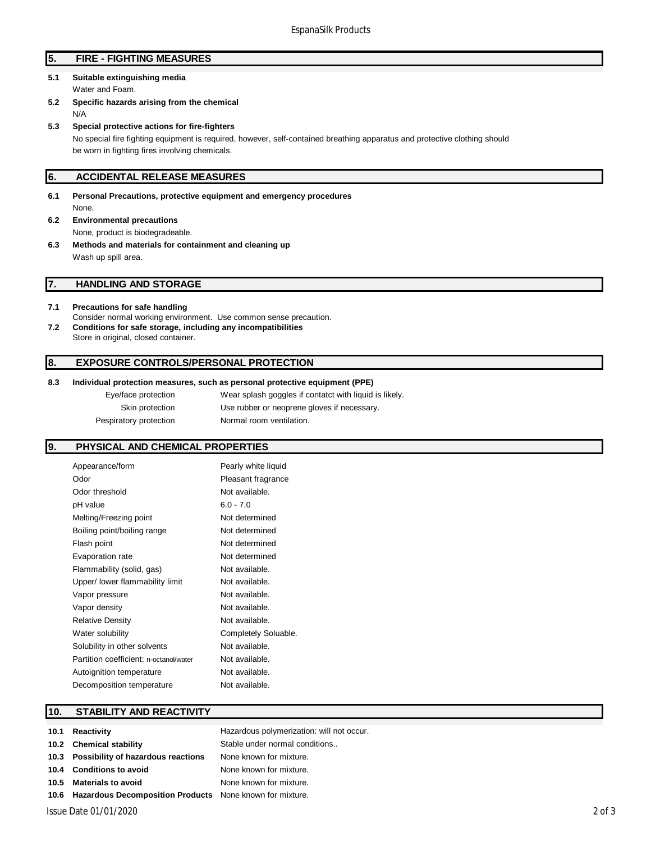# **5. FIRE - FIGHTING MEASURES**

### **5.1 Suitable extinguishing media** Water and Foam.

- **5.2 Specific hazards arising from the chemical** N/A
- **5.3 Special protective actions for fire-fighters** No special fire fighting equipment is required, however, self-contained breathing apparatus and protective clothing should be worn in fighting fires involving chemicals.

### **6. ACCIDENTAL RELEASE MEASURES**

- **6.1 Personal Precautions, protective equipment and emergency procedures** None.
- **6.2 Environmental precautions** None, product is biodegradeable.
- **6.3 Methods and materials for containment and cleaning up** Wash up spill area.

### **7. HANDLING AND STORAGE**

### **7.1 Precautions for safe handling**

Consider normal working environment. Use common sense precaution. **7.2 Conditions for safe storage, including any incompatibilities** Store in original, closed container.

### **8. EXPOSURE CONTROLS/PERSONAL PROTECTION**

#### **8.3 Individual protection measures, such as personal protective equipment (PPE)**

Eye/face protection Wear splash goggles if contatct with liquid is likely. Skin protection **Use rubber or neoprene gloves if necessary**. Pespiratory protection Normal room ventilation.

### **9. PHYSICAL AND CHEMICAL PROPERTIES**

| Appearance/form                        | Pearly white liquid  |
|----------------------------------------|----------------------|
| Odor                                   | Pleasant fragrance   |
| Odor threshold                         | Not available.       |
| pH value                               | $6.0 - 7.0$          |
| Melting/Freezing point                 | Not determined       |
| Boiling point/boiling range            | Not determined       |
| Flash point                            | Not determined       |
| Evaporation rate                       | Not determined       |
| Flammability (solid, gas)              | Not available.       |
| Upper/ lower flammability limit        | Not available.       |
| Vapor pressure                         | Not available.       |
| Vapor density                          | Not available.       |
| <b>Relative Density</b>                | Not available.       |
| Water solubility                       | Completely Soluable. |
| Solubility in other solvents           | Not available.       |
| Partition coefficient: n-octanol/water | Not available.       |
| Autoignition temperature               | Not available.       |
| Decomposition temperature              | Not available.       |

### **10. STABILITY AND REACTIVITY**

# 10.1 **Reactivity 10.1 Reactivity Hazardous polymerization: will not occur. 10.2 Chemical stability** Stable under normal conditions.. **10.3 Possibility of hazardous reactions** None known for mixture. **10.4 Conditions to avoid** None known for mixture. **10.5 Materials to avoid** None known for mixture. **10.6 Hazardous Decomposition Products** None known for mixture.

Issue Date 01/01/2020 2 of 3